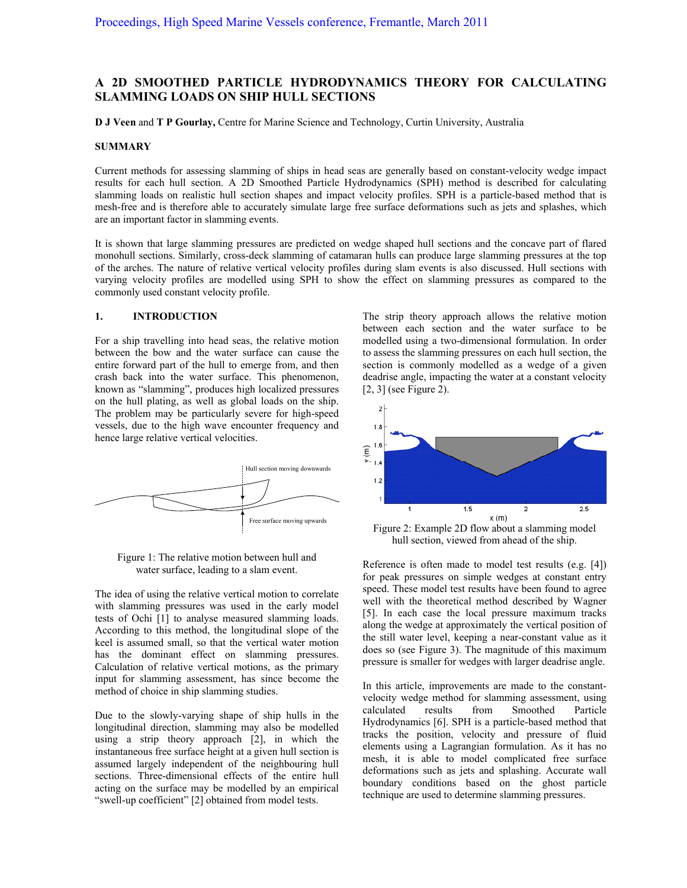# **A 2D SMOOTHED PARTICLE HYDRODYNAMICS THEORY FOR CALCULATING SLAMMING LOADS ON SHIP HULL SECTIONS**

**D J Veen** and **T P Gourlay,** Centre for Marine Science and Technology, Curtin University, Australia

#### **SUMMARY**

Current methods for assessing slamming of ships in head seas are generally based on constant-velocity wedge impact results for each hull section. A 2D Smoothed Particle Hydrodynamics (SPH) method is described for calculating slamming loads on realistic hull section shapes and impact velocity profiles. SPH is a particle-based method that is mesh-free and is therefore able to accurately simulate large free surface deformations such as jets and splashes, which are an important factor in slamming events.

It is shown that large slamming pressures are predicted on wedge shaped hull sections and the concave part of flared monohull sections. Similarly, cross-deck slamming of catamaran hulls can produce large slamming pressures at the top of the arches. The nature of relative vertical velocity profiles during slam events is also discussed. Hull sections with varying velocity profiles are modelled using SPH to show the effect on slamming pressures as compared to the commonly used constant velocity profile.

## **1. INTRODUCTION**

For a ship travelling into head seas, the relative motion between the bow and the water surface can cause the entire forward part of the hull to emerge from, and then crash back into the water surface. This phenomenon, known as "slamming", produces high localized pressures on the hull plating, as well as global loads on the ship. The problem may be particularly severe for high-speed vessels, due to the high wave encounter frequency and hence large relative vertical velocities.



Figure 1: The relative motion between hull and water surface, leading to a slam event.

The idea of using the relative vertical motion to correlate with slamming pressures was used in the early model tests of Ochi [1] to analyse measured slamming loads. According to this method, the longitudinal slope of the keel is assumed small, so that the vertical water motion has the dominant effect on slamming pressures. Calculation of relative vertical motions, as the primary input for slamming assessment, has since become the method of choice in ship slamming studies.

Due to the slowly-varying shape of ship hulls in the longitudinal direction, slamming may also be modelled using a strip theory approach [2], in which the instantaneous free surface height at a given hull section is assumed largely independent of the neighbouring hull sections. Three-dimensional effects of the entire hull acting on the surface may be modelled by an empirical "swell-up coefficient" [2] obtained from model tests.

The strip theory approach allows the relative motion between each section and the water surface to be modelled using a two-dimensional formulation. In order to assess the slamming pressures on each hull section, the section is commonly modelled as a wedge of a given deadrise angle, impacting the water at a constant velocity [2, 3] (see Figure 2).



Figure 2: Example 2D flow about a slamming model hull section, viewed from ahead of the ship.

Reference is often made to model test results (e.g. [4]) for peak pressures on simple wedges at constant entry speed. These model test results have been found to agree well with the theoretical method described by Wagner [5]. In each case the local pressure maximum tracks along the wedge at approximately the vertical position of the still water level, keeping a near-constant value as it does so (see Figure 3). The magnitude of this maximum pressure is smaller for wedges with larger deadrise angle.

In this article, improvements are made to the constantvelocity wedge method for slamming assessment, using calculated results from Smoothed Particle Hydrodynamics [6]. SPH is a particle-based method that tracks the position, velocity and pressure of fluid elements using a Lagrangian formulation. As it has no mesh, it is able to model complicated free surface deformations such as jets and splashing. Accurate wall boundary conditions based on the ghost particle technique are used to determine slamming pressures.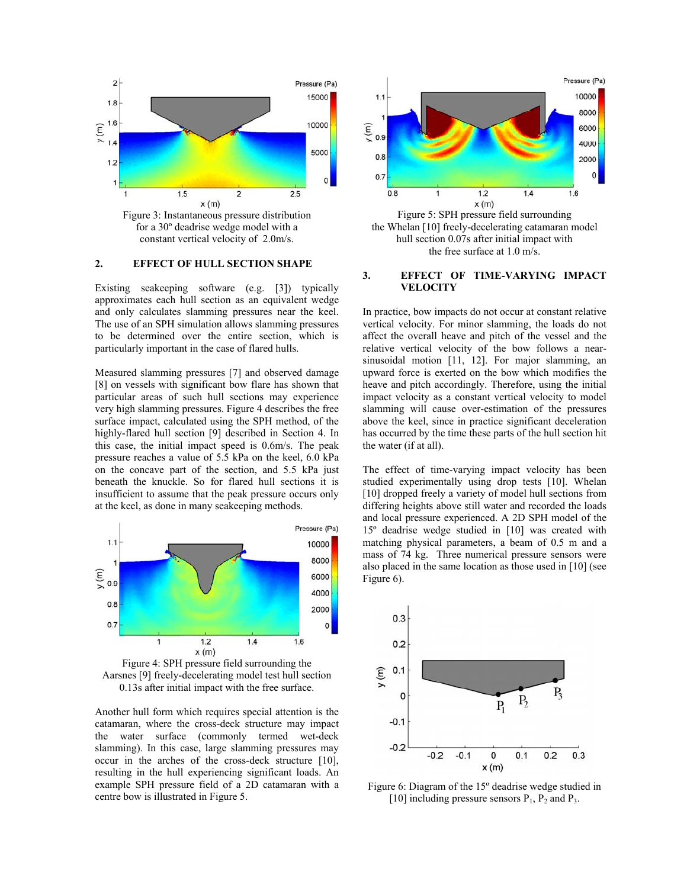

#### **2. EFFECT OF HULL SECTION SHAPE**

Existing seakeeping software (e.g. [3]) typically approximates each hull section as an equivalent wedge and only calculates slamming pressures near the keel. The use of an SPH simulation allows slamming pressures to be determined over the entire section, which is particularly important in the case of flared hulls.

Measured slamming pressures [7] and observed damage [8] on vessels with significant bow flare has shown that particular areas of such hull sections may experience very high slamming pressures. Figure 4 describes the free surface impact, calculated using the SPH method, of the highly-flared hull section [9] described in Section 4. In this case, the initial impact speed is 0.6m/s. The peak pressure reaches a value of 5.5 kPa on the keel, 6.0 kPa on the concave part of the section, and 5.5 kPa just beneath the knuckle. So for flared hull sections it is insufficient to assume that the peak pressure occurs only at the keel, as done in many seakeeping methods.





Another hull form which requires special attention is the catamaran, where the cross-deck structure may impact the water surface (commonly termed wet-deck slamming). In this case, large slamming pressures may occur in the arches of the cross-deck structure [10], resulting in the hull experiencing significant loads. An example SPH pressure field of a 2D catamaran with a centre bow is illustrated in Figure 5.



#### **3. EFFECT OF TIME-VARYING IMPACT VELOCITY**

In practice, bow impacts do not occur at constant relative vertical velocity. For minor slamming, the loads do not affect the overall heave and pitch of the vessel and the relative vertical velocity of the bow follows a nearsinusoidal motion [11, 12]. For major slamming, an upward force is exerted on the bow which modifies the heave and pitch accordingly. Therefore, using the initial impact velocity as a constant vertical velocity to model slamming will cause over-estimation of the pressures above the keel, since in practice significant deceleration has occurred by the time these parts of the hull section hit the water (if at all).

The effect of time-varying impact velocity has been studied experimentally using drop tests [10]. Whelan [10] dropped freely a variety of model hull sections from differing heights above still water and recorded the loads and local pressure experienced. A 2D SPH model of the 15º deadrise wedge studied in [10] was created with matching physical parameters, a beam of 0.5 m and a mass of 74 kg. Three numerical pressure sensors were also placed in the same location as those used in [10] (see Figure 6).



Figure 6: Diagram of the 15º deadrise wedge studied in [10] including pressure sensors  $P_1$ ,  $P_2$  and  $P_3$ .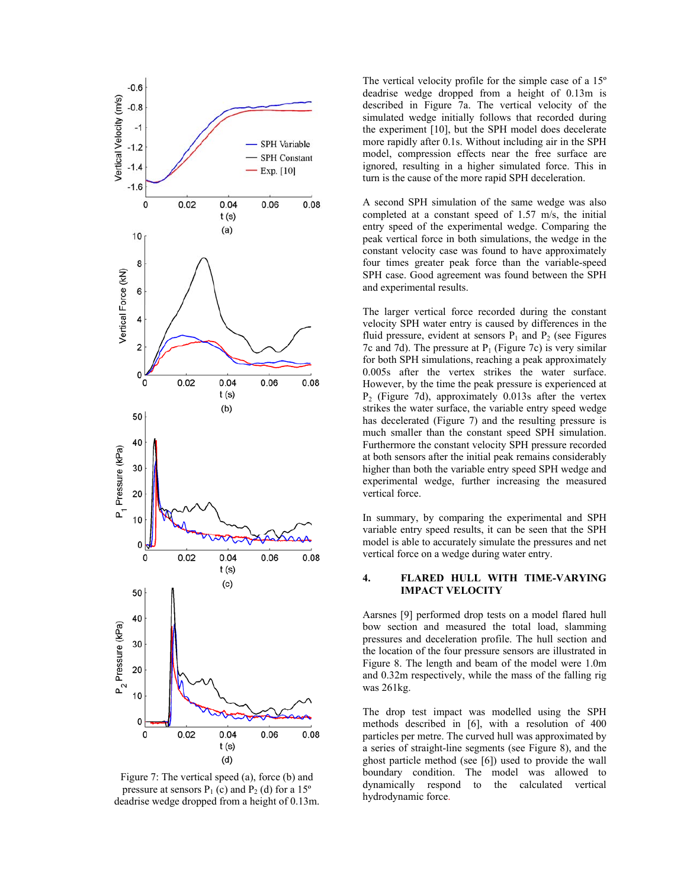

Figure 7: The vertical speed (a), force (b) and pressure at sensors  $P_1$  (c) and  $P_2$  (d) for a 15<sup>o</sup> deadrise wedge dropped from a height of 0.13m.

The vertical velocity profile for the simple case of a 15º deadrise wedge dropped from a height of 0.13m is described in Figure 7a. The vertical velocity of the simulated wedge initially follows that recorded during the experiment [10], but the SPH model does decelerate more rapidly after 0.1s. Without including air in the SPH model, compression effects near the free surface are ignored, resulting in a higher simulated force. This in turn is the cause of the more rapid SPH deceleration.

A second SPH simulation of the same wedge was also completed at a constant speed of 1.57 m/s, the initial entry speed of the experimental wedge. Comparing the peak vertical force in both simulations, the wedge in the constant velocity case was found to have approximately four times greater peak force than the variable-speed SPH case. Good agreement was found between the SPH and experimental results.

The larger vertical force recorded during the constant velocity SPH water entry is caused by differences in the fluid pressure, evident at sensors  $P_1$  and  $P_2$  (see Figures 7c and 7d). The pressure at  $P_1$  (Figure 7c) is very similar for both SPH simulations, reaching a peak approximately 0.005s after the vertex strikes the water surface. However, by the time the peak pressure is experienced at  $P<sub>2</sub>$  (Figure 7d), approximately 0.013s after the vertex strikes the water surface, the variable entry speed wedge has decelerated (Figure 7) and the resulting pressure is much smaller than the constant speed SPH simulation. Furthermore the constant velocity SPH pressure recorded at both sensors after the initial peak remains considerably higher than both the variable entry speed SPH wedge and experimental wedge, further increasing the measured vertical force.

In summary, by comparing the experimental and SPH variable entry speed results, it can be seen that the SPH model is able to accurately simulate the pressures and net vertical force on a wedge during water entry.

#### **4. FLARED HULL WITH TIME-VARYING IMPACT VELOCITY**

Aarsnes [9] performed drop tests on a model flared hull bow section and measured the total load, slamming pressures and deceleration profile. The hull section and the location of the four pressure sensors are illustrated in Figure 8. The length and beam of the model were 1.0m and 0.32m respectively, while the mass of the falling rig was 261kg.

The drop test impact was modelled using the SPH methods described in [6], with a resolution of 400 particles per metre. The curved hull was approximated by a series of straight-line segments (see Figure 8), and the ghost particle method (see [6]) used to provide the wall boundary condition. The model was allowed to dynamically respond to the calculated vertical hydrodynamic force.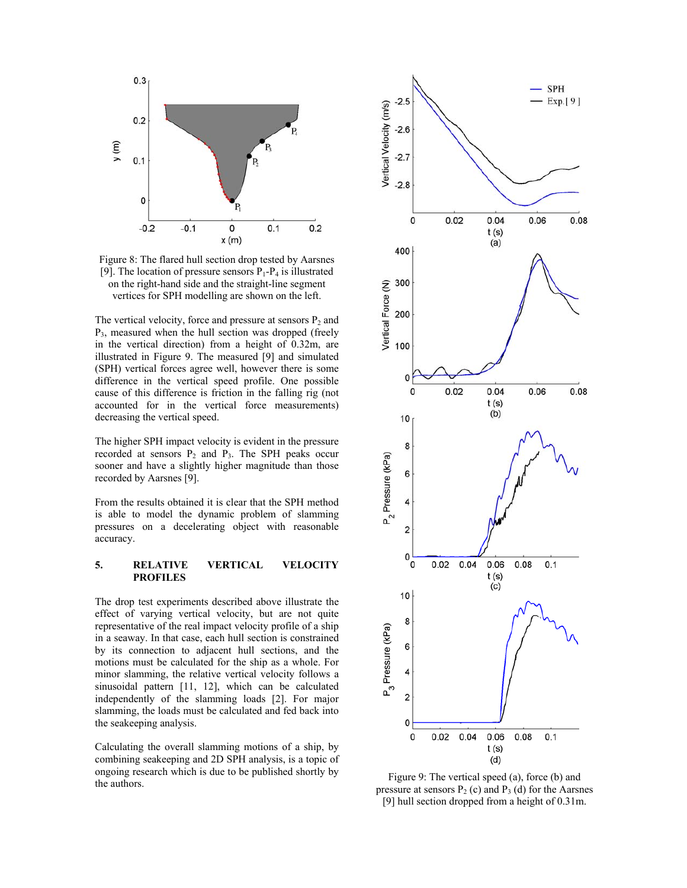

Figure 8: The flared hull section drop tested by Aarsnes [9]. The location of pressure sensors  $P_1-P_4$  is illustrated on the right-hand side and the straight-line segment vertices for SPH modelling are shown on the left.

The vertical velocity, force and pressure at sensors  $P_2$  and P3, measured when the hull section was dropped (freely in the vertical direction) from a height of 0.32m, are illustrated in Figure 9. The measured [9] and simulated (SPH) vertical forces agree well, however there is some difference in the vertical speed profile. One possible cause of this difference is friction in the falling rig (not accounted for in the vertical force measurements) decreasing the vertical speed.

The higher SPH impact velocity is evident in the pressure recorded at sensors  $P_2$  and  $P_3$ . The SPH peaks occur sooner and have a slightly higher magnitude than those recorded by Aarsnes [9].

From the results obtained it is clear that the SPH method is able to model the dynamic problem of slamming pressures on a decelerating object with reasonable accuracy.

### **5. RELATIVE VERTICAL VELOCITY PROFILES**

The drop test experiments described above illustrate the effect of varying vertical velocity, but are not quite representative of the real impact velocity profile of a ship in a seaway. In that case, each hull section is constrained by its connection to adjacent hull sections, and the motions must be calculated for the ship as a whole. For minor slamming, the relative vertical velocity follows a sinusoidal pattern [11, 12], which can be calculated independently of the slamming loads [2]. For major slamming, the loads must be calculated and fed back into the seakeeping analysis.

Calculating the overall slamming motions of a ship, by combining seakeeping and 2D SPH analysis, is a topic of ongoing research which is due to be published shortly by ongoing research which is due to be published shortly by Figure 9: The vertical speed (a), force (b) and the authors.



pressure at sensors  $P_2$  (c) and  $P_3$  (d) for the Aarsnes [9] hull section dropped from a height of 0.31m.